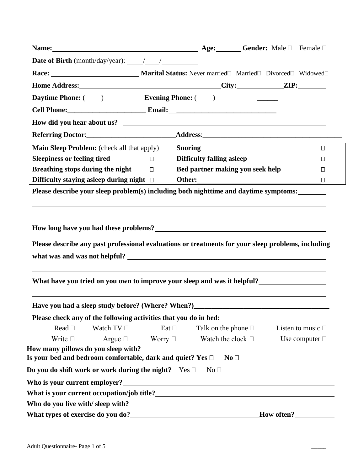| Name: Male □ Female □                                                                                                                                                                                                          |              |                                                             |                 |                        |
|--------------------------------------------------------------------------------------------------------------------------------------------------------------------------------------------------------------------------------|--------------|-------------------------------------------------------------|-----------------|------------------------|
|                                                                                                                                                                                                                                |              |                                                             |                 |                        |
|                                                                                                                                                                                                                                |              |                                                             |                 |                        |
|                                                                                                                                                                                                                                |              |                                                             |                 |                        |
| Daytime Phone: (Campbell Communication Evening Phone: (Campbell Communication Phone: (Campbell Communication Phone: Campbell Communication Phone: Campbell Communication Phone: Campbell Communication Phone: Campbell Communi |              |                                                             |                 |                        |
| Cell Phone: Email: Email:                                                                                                                                                                                                      |              |                                                             |                 |                        |
|                                                                                                                                                                                                                                |              |                                                             |                 |                        |
|                                                                                                                                                                                                                                |              |                                                             |                 |                        |
| <b>Main Sleep Problem:</b> (check all that apply)                                                                                                                                                                              |              | <b>Snoring</b>                                              |                 | $\Box$                 |
| <b>Sleepiness or feeling tired</b>                                                                                                                                                                                             | $\Box$       | <b>Difficulty falling asleep</b>                            |                 | $\Box$                 |
| Breathing stops during the night $\Box$                                                                                                                                                                                        |              | Bed partner making you seek help                            |                 | $\Box$                 |
| Difficulty staying asleep during night $\Box$                                                                                                                                                                                  |              |                                                             |                 | $\Box$                 |
| Please describe your sleep problem(s) including both nighttime and daytime symptoms:                                                                                                                                           |              |                                                             |                 |                        |
|                                                                                                                                                                                                                                |              |                                                             |                 |                        |
|                                                                                                                                                                                                                                |              |                                                             |                 |                        |
| Have you had a sleep study before? (Where? When?)                                                                                                                                                                              |              |                                                             |                 |                        |
| Please check any of the following activities that you do in bed:                                                                                                                                                               |              |                                                             |                 |                        |
| Read $\square$<br>Watch $TV \square$                                                                                                                                                                                           | Eat $\Box$   | Talk on the phone $\square$                                 |                 | Listen to music $\Box$ |
| Write $\square$<br>Argue $\Box$                                                                                                                                                                                                | Worry $\Box$ | Watch the clock $\square$                                   |                 | Use computer $\Box$    |
| How many pillows do you sleep with?__________                                                                                                                                                                                  |              |                                                             |                 |                        |
| Is your bed and bedroom comfortable, dark and quiet? Yes $\Box$                                                                                                                                                                |              |                                                             | No <sub>1</sub> |                        |
| Do you do shift work or work during the night? $\Gamma$ Yes $\Box$                                                                                                                                                             |              | No <sub>1</sub>                                             |                 |                        |
| Who is your current employer?                                                                                                                                                                                                  |              | <u> 1989 - Johann Stoff, Amerikaansk politiker († 1908)</u> |                 |                        |
|                                                                                                                                                                                                                                |              |                                                             |                 |                        |
|                                                                                                                                                                                                                                |              |                                                             |                 |                        |
|                                                                                                                                                                                                                                |              |                                                             |                 | How often?             |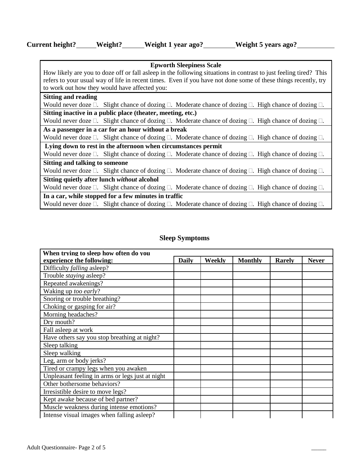| Current height? | Weight? | Weight 1 year ago? | Weight 5 years ago? |
|-----------------|---------|--------------------|---------------------|
|-----------------|---------|--------------------|---------------------|

| <b>Epworth Sleepiness Scale</b>                                                                                              |  |  |  |  |  |  |  |
|------------------------------------------------------------------------------------------------------------------------------|--|--|--|--|--|--|--|
| How likely are you to doze off or fall asleep in the following situations in contrast to just feeling tired? This            |  |  |  |  |  |  |  |
| refers to your usual way of life in recent times. Even if you have not done some of these things recently, try               |  |  |  |  |  |  |  |
| to work out how they would have affected you:                                                                                |  |  |  |  |  |  |  |
| <b>Sitting and reading</b>                                                                                                   |  |  |  |  |  |  |  |
| Would never doze $\Box$ . Slight chance of dozing $\Box$ . Moderate chance of dozing $\Box$ . High chance of dozing $\Box$ . |  |  |  |  |  |  |  |
| Sitting inactive in a public place (theater, meeting, etc.)                                                                  |  |  |  |  |  |  |  |
| Would never doze $\Box$ . Slight chance of dozing $\Box$ . Moderate chance of dozing $\Box$ . High chance of dozing $\Box$ . |  |  |  |  |  |  |  |
| As a passenger in a car for an hour without a break                                                                          |  |  |  |  |  |  |  |
| Would never doze $\Box$ . Slight chance of dozing $\Box$ . Moderate chance of dozing $\Box$ . High chance of dozing $\Box$ . |  |  |  |  |  |  |  |
| Lying down to rest in the afternoon when circumstances permit                                                                |  |  |  |  |  |  |  |
| Would never doze $\Box$ . Slight chance of dozing $\Box$ . Moderate chance of dozing $\Box$ . High chance of dozing $\Box$ . |  |  |  |  |  |  |  |
| <b>Sitting and talking to someone</b>                                                                                        |  |  |  |  |  |  |  |
| Would never doze $\Box$ . Slight chance of dozing $\Box$ . Moderate chance of dozing $\Box$ . High chance of dozing $\Box$ . |  |  |  |  |  |  |  |
| Sitting quietly after lunch without alcohol                                                                                  |  |  |  |  |  |  |  |
| Would never doze $\Box$ . Slight chance of dozing $\Box$ . Moderate chance of dozing $\Box$ . High chance of dozing $\Box$ . |  |  |  |  |  |  |  |
| In a car, while stopped for a few minutes in traffic                                                                         |  |  |  |  |  |  |  |
| Would never doze $\Box$ . Slight chance of dozing $\Box$ . Moderate chance of dozing $\Box$ . High chance of dozing $\Box$ . |  |  |  |  |  |  |  |

# **Sleep Symptoms**

| When trying to sleep how often do you            |              |               |                |               |              |  |  |
|--------------------------------------------------|--------------|---------------|----------------|---------------|--------------|--|--|
| experience the following:                        | <b>Daily</b> | <b>Weekly</b> | <b>Monthly</b> | <b>Rarely</b> | <b>Never</b> |  |  |
| Difficulty falling asleep?                       |              |               |                |               |              |  |  |
| Trouble <i>staying</i> asleep?                   |              |               |                |               |              |  |  |
| Repeated awakenings?                             |              |               |                |               |              |  |  |
| Waking up too early?                             |              |               |                |               |              |  |  |
| Snoring or trouble breathing?                    |              |               |                |               |              |  |  |
| Choking or gasping for air?                      |              |               |                |               |              |  |  |
| Morning headaches?                               |              |               |                |               |              |  |  |
| Dry mouth?                                       |              |               |                |               |              |  |  |
| Fall asleep at work                              |              |               |                |               |              |  |  |
| Have others say you stop breathing at night?     |              |               |                |               |              |  |  |
| Sleep talking                                    |              |               |                |               |              |  |  |
| Sleep walking                                    |              |               |                |               |              |  |  |
| Leg, arm or body jerks?                          |              |               |                |               |              |  |  |
| Tired or crampy legs when you awaken             |              |               |                |               |              |  |  |
| Unpleasant feeling in arms or legs just at night |              |               |                |               |              |  |  |
| Other bothersome behaviors?                      |              |               |                |               |              |  |  |
| Irresistible desire to move legs?                |              |               |                |               |              |  |  |
| Kept awake because of bed partner?               |              |               |                |               |              |  |  |
| Muscle weakness during intense emotions?         |              |               |                |               |              |  |  |
| Intense visual images when falling as leep?      |              |               |                |               |              |  |  |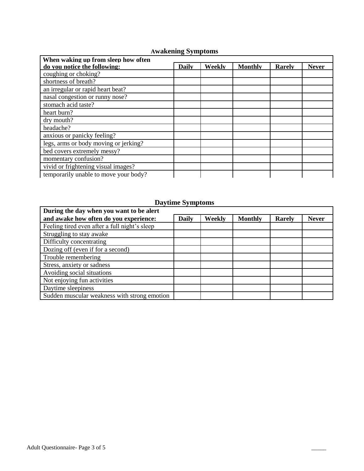## **Awakening Symptoms**

| When waking up from sleep how often   |              |        |                |               |              |
|---------------------------------------|--------------|--------|----------------|---------------|--------------|
| do you notice the following:          | <b>Daily</b> | Weekly | <b>Monthly</b> | <b>Rarely</b> | <b>Never</b> |
| coughing or choking?                  |              |        |                |               |              |
| shortness of breath?                  |              |        |                |               |              |
| an irregular or rapid heart beat?     |              |        |                |               |              |
| nasal congestion or runny nose?       |              |        |                |               |              |
| stomach acid taste?                   |              |        |                |               |              |
| heart burn?                           |              |        |                |               |              |
| dry mouth?                            |              |        |                |               |              |
| headache?                             |              |        |                |               |              |
| anxious or panicky feeling?           |              |        |                |               |              |
| legs, arms or body moving or jerking? |              |        |                |               |              |
| bed covers extremely messy?           |              |        |                |               |              |
| momentary confusion?                  |              |        |                |               |              |
| vivid or frightening visual images?   |              |        |                |               |              |
| temporarily unable to move your body? |              |        |                |               |              |

## **Daytime Symptoms**

| During the day when you want to be alert      |              |        |                |        |              |
|-----------------------------------------------|--------------|--------|----------------|--------|--------------|
| and awake how often do you experience:        | <b>Daily</b> | Weekly | <b>Monthly</b> | Rarely | <b>Never</b> |
| Feeling tired even after a full night's sleep |              |        |                |        |              |
| Struggling to stay awake                      |              |        |                |        |              |
| Difficulty concentrating                      |              |        |                |        |              |
| Dozing off (even if for a second)             |              |        |                |        |              |
| Trouble remembering                           |              |        |                |        |              |
| Stress, anxiety or sadness                    |              |        |                |        |              |
| Avoiding social situations                    |              |        |                |        |              |
| Not enjoying fun activities                   |              |        |                |        |              |
| Daytime sleepiness                            |              |        |                |        |              |
| Sudden muscular weakness with strong emotion  |              |        |                |        |              |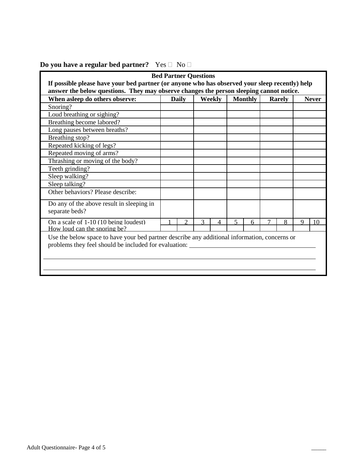|                                                                                                | <b>Bed Partner Questions</b> |               |              |        |   |                |  |               |          |              |
|------------------------------------------------------------------------------------------------|------------------------------|---------------|--------------|--------|---|----------------|--|---------------|----------|--------------|
| If possible please have your bed partner (or anyone who has observed your sleep recently) help |                              |               |              |        |   |                |  |               |          |              |
| answer the below questions. They may observe changes the person sleeping cannot notice.        |                              |               |              |        |   |                |  |               |          |              |
| When asleep do others observe:                                                                 |                              | <b>Daily</b>  |              | Weekly |   | <b>Monthly</b> |  | <b>Rarely</b> |          | <b>Never</b> |
| Snoring?                                                                                       |                              |               |              |        |   |                |  |               |          |              |
| Loud breathing or sighing?                                                                     |                              |               |              |        |   |                |  |               |          |              |
| Breathing become labored?                                                                      |                              |               |              |        |   |                |  |               |          |              |
| Long pauses between breaths?                                                                   |                              |               |              |        |   |                |  |               |          |              |
| Breathing stop?                                                                                |                              |               |              |        |   |                |  |               |          |              |
| Repeated kicking of legs?                                                                      |                              |               |              |        |   |                |  |               |          |              |
| Repeated moving of arms?                                                                       |                              |               |              |        |   |                |  |               |          |              |
| Thrashing or moving of the body?                                                               |                              |               |              |        |   |                |  |               |          |              |
| Teeth grinding?                                                                                |                              |               |              |        |   |                |  |               |          |              |
| Sleep walking?                                                                                 |                              |               |              |        |   |                |  |               |          |              |
| Sleep talking?                                                                                 |                              |               |              |        |   |                |  |               |          |              |
| Other behaviors? Please describe:                                                              |                              |               |              |        |   |                |  |               |          |              |
| Do any of the above result in sleeping in                                                      |                              |               |              |        |   |                |  |               |          |              |
| separate beds?                                                                                 |                              |               |              |        |   |                |  |               |          |              |
| On a scale of 1-10 (10 being loudest)                                                          |                              | $\mathcal{D}$ | $\mathbf{3}$ |        | 5 | 6              |  | 8             | $\Omega$ | 10           |
| How loud can the snoring be?                                                                   |                              |               |              |        |   |                |  |               |          |              |
| Use the below space to have your bed partner describe any additional information, concerns or  |                              |               |              |        |   |                |  |               |          |              |
| problems they feel should be included for evaluation:                                          |                              |               |              |        |   |                |  |               |          |              |
|                                                                                                |                              |               |              |        |   |                |  |               |          |              |
|                                                                                                |                              |               |              |        |   |                |  |               |          |              |
|                                                                                                |                              |               |              |        |   |                |  |               |          |              |
|                                                                                                |                              |               |              |        |   |                |  |               |          |              |

# **Do you have a regular bed partner?** Yes  $\Box$  No  $\Box$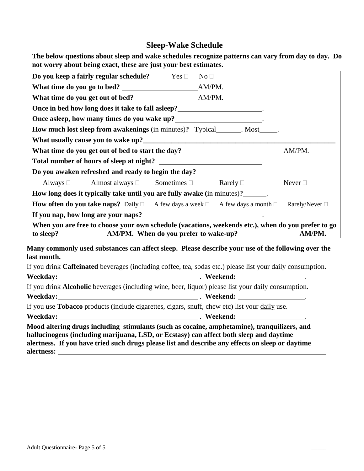# **Sleep-Wake Schedule**

**The below questions about sleep and wake schedules recognize patterns can vary from day to day. Do not worry about being exact, these are just your best estimates.** 

|             | Do you keep a fairly regular schedule? $\qquad \qquad$ Yes $\Box$ No $\Box$                                                                                                                                                                                                               |  |                                                                                                    |
|-------------|-------------------------------------------------------------------------------------------------------------------------------------------------------------------------------------------------------------------------------------------------------------------------------------------|--|----------------------------------------------------------------------------------------------------|
|             |                                                                                                                                                                                                                                                                                           |  |                                                                                                    |
|             |                                                                                                                                                                                                                                                                                           |  |                                                                                                    |
|             | Once in bed how long does it take to fall asleep?                                                                                                                                                                                                                                         |  |                                                                                                    |
|             | Once asleep, how many times do you wake up?_________________________.                                                                                                                                                                                                                     |  |                                                                                                    |
|             | <b>How much lost sleep from awakenings</b> (in minutes)? Typical_______. Most______.                                                                                                                                                                                                      |  |                                                                                                    |
|             |                                                                                                                                                                                                                                                                                           |  |                                                                                                    |
|             |                                                                                                                                                                                                                                                                                           |  |                                                                                                    |
|             |                                                                                                                                                                                                                                                                                           |  |                                                                                                    |
|             | Do you awaken refreshed and ready to begin the day?                                                                                                                                                                                                                                       |  |                                                                                                    |
|             | Always $\Box$ Almost always $\Box$ Sometimes $\Box$ Rarely $\Box$                                                                                                                                                                                                                         |  | Never $\Box$                                                                                       |
|             | How long does it typically take until you are fully awake (in minutes)?                                                                                                                                                                                                                   |  |                                                                                                    |
|             | <b>How often do you take naps?</b> Daily $\Box$ A few days a week $\Box$ A few days a month $\Box$ Rarely/Never $\Box$                                                                                                                                                                    |  |                                                                                                    |
|             | If you nap, how long are your naps?<br><u>If</u> you nap, how long are your naps?                                                                                                                                                                                                         |  |                                                                                                    |
|             |                                                                                                                                                                                                                                                                                           |  | When you are free to choose your own schedule (vacations, weekends etc.), when do you prefer to go |
| last month. |                                                                                                                                                                                                                                                                                           |  | Many commonly used substances can affect sleep. Please describe your use of the following over the |
|             | If you drink Caffeinated beverages (including coffee, tea, sodas etc.) please list your daily consumption.                                                                                                                                                                                |  |                                                                                                    |
|             |                                                                                                                                                                                                                                                                                           |  |                                                                                                    |
|             | If you drink <b>Alcoholic</b> beverages (including wine, beer, liquor) please list your daily consumption.                                                                                                                                                                                |  |                                                                                                    |
|             |                                                                                                                                                                                                                                                                                           |  |                                                                                                    |
|             | If you use <b>Tobacco</b> products (include cigarettes, cigars, snuff, chew etc) list your daily use.                                                                                                                                                                                     |  |                                                                                                    |
|             |                                                                                                                                                                                                                                                                                           |  |                                                                                                    |
|             | Mood altering drugs including stimulants (such as cocaine, amphetamine), tranquilizers, and<br>hallucinogens (including marijuana, LSD, or Ecstasy) can affect both sleep and daytime<br>alertness. If you have tried such drugs please list and describe any effects on sleep or daytime |  |                                                                                                    |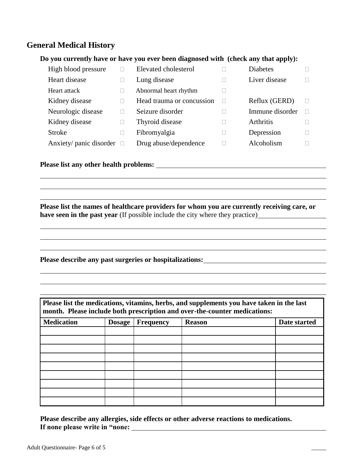# **General Medical History**

#### **Do you currently have or have you ever been diagnosed with (check any that apply):**

| High blood pressure     | Elevated cholesterol      | <b>Diabetes</b>  |  |
|-------------------------|---------------------------|------------------|--|
| Heart disease           | Lung disease              | Liver disease    |  |
| Heart attack            | Abnormal heart rhythm     |                  |  |
| Kidney disease          | Head trauma or concussion | Reflux (GERD)    |  |
| Neurologic disease      | Seizure disorder          | Immune disorder  |  |
| Kidney disease          | Thyroid disease           | <b>Arthritis</b> |  |
| <b>Stroke</b>           | Fibromyalgia              | Depression       |  |
| Anxiety/ panic disorder | Drug abuse/dependence     | Alcoholism       |  |

## **Please list any other health problems:**

**Please list the names of healthcare providers for whom you are currently receiving care, or have seen in the past year** (If possible include the city where they practice)

<u> 1989 - Johann Stoff, amerikansk politiker (\* 1908)</u>

**Please describe any past surgeries or hospitalizations:**

| Please list the medications, vitamins, herbs, and supplements you have taken in the last<br>month. Please include both prescription and over-the-counter medications: |               |                  |               |              |  |
|-----------------------------------------------------------------------------------------------------------------------------------------------------------------------|---------------|------------------|---------------|--------------|--|
| <b>Medication</b>                                                                                                                                                     | <b>Dosage</b> | <b>Frequency</b> | <b>Reason</b> | Date started |  |
|                                                                                                                                                                       |               |                  |               |              |  |
|                                                                                                                                                                       |               |                  |               |              |  |
|                                                                                                                                                                       |               |                  |               |              |  |
|                                                                                                                                                                       |               |                  |               |              |  |
|                                                                                                                                                                       |               |                  |               |              |  |
|                                                                                                                                                                       |               |                  |               |              |  |
|                                                                                                                                                                       |               |                  |               |              |  |
|                                                                                                                                                                       |               |                  |               |              |  |
|                                                                                                                                                                       |               |                  |               |              |  |

**Please describe any allergies, side effects or other adverse reactions to medications. If none please write in "none:**